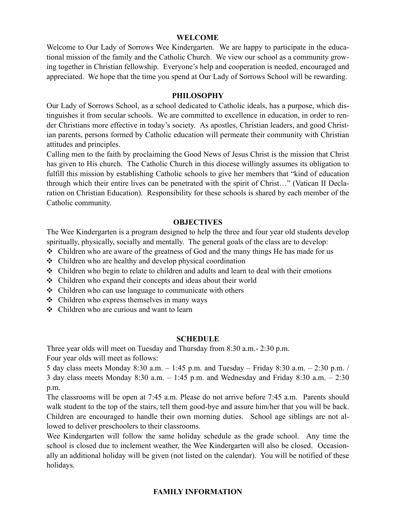#### **WELCOME**

Welcome to Our Lady of Sorrows Wee Kindergarten. We are happy to participate in the educational mission of the family and the Catholic Church. We view our school as a community growing together in Christian fellowship. Everyone's help and cooperation is needed, encouraged and appreciated. We hope that the time you spend at Our Lady of Sorrows School will be rewarding.

## **PHILOSOPHY**

Our Lady of Sorrows School, as a school dedicated to Catholic ideals, has a purpose, which distinguishes it from secular schools. We are committed to excellence in education, in order to render Christians more effective in today's society. As apostles, Christian leaders, and good Christian parents, persons formed by Catholic education will permeate their community with Christian attitudes and principles.

Calling men to the faith by proclaiming the Good News of Jesus Christ is the mission that Christ has given to His church. The Catholic Church in this diocese willingly assumes its obligation to fulfill this mission by establishing Catholic schools to give her members that "kind of education through which their entire lives can be penetrated with the spirit of Christ…" (Vatican II Declaration on Christian Education). Responsibility for these schools is shared by each member of the Catholic community.

#### **OBJECTIVES**

The Wee Kindergarten is a program designed to help the three and four year old students develop spiritually, physically, socially and mentally. The general goals of the class are to develop:

- ❖ Children who are aware of the greatness of God and the many things He has made for us
- ❖ Children who are healthy and develop physical coordination
- ❖ Children who begin to relate to children and adults and learn to deal with their emotions
- ❖ Children who expand their concepts and ideas about their world
- ❖ Children who can use language to communicate with others
- ❖ Children who express themselves in many ways
- ❖ Children who are curious and want to learn

#### **SCHEDULE**

Three year olds will meet on Tuesday and Thursday from 8:30 a.m.- 2:30 p.m. Four year olds will meet as follows:

5 day class meets Monday 8:30 a.m. – 1:45 p.m. and Tuesday – Friday 8:30 a.m. – 2:30 p.m. / 3 day class meets Monday 8:30 a.m. – 1:45 p.m. and Wednesday and Friday 8:30 a.m. – 2:30 p.m.

The classrooms will be open at 7:45 a.m. Please do not arrive before 7:45 a.m. Parents should walk student to the top of the stairs, tell them good-bye and assure him/her that you will be back. Children are encouraged to handle their own morning duties. School age siblings are not allowed to deliver preschoolers to their classrooms.

Wee Kindergarten will follow the same holiday schedule as the grade school. Any time the school is closed due to inclement weather, the Wee Kindergarten will also be closed. Occasionally an additional holiday will be given (not listed on the calendar). You will be notified of these holidays.

# **FAMILY INFORMATION**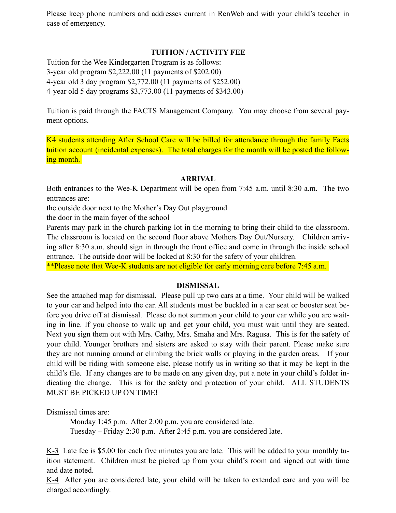Please keep phone numbers and addresses current in RenWeb and with your child's teacher in case of emergency.

# **TUITION / ACTIVITY FEE**

Tuition for the Wee Kindergarten Program is as follows: 3-year old program \$2,222.00 (11 payments of \$202.00) 4-year old 3 day program \$2,772.00 (11 payments of \$252.00) 4-year old 5 day programs \$3,773.00 (11 payments of \$343.00)

Tuition is paid through the FACTS Management Company. You may choose from several payment options.

K4 students attending After School Care will be billed for attendance through the family Facts tuition account (incidental expenses). The total charges for the month will be posted the following month.

#### **ARRIVAL**

Both entrances to the Wee-K Department will be open from 7:45 a.m. until 8:30 a.m. The two entrances are:

the outside door next to the Mother's Day Out playground

the door in the main foyer of the school

Parents may park in the church parking lot in the morning to bring their child to the classroom. The classroom is located on the second floor above Mothers Day Out/Nursery. Children arriving after 8:30 a.m. should sign in through the front office and come in through the inside school entrance. The outside door will be locked at 8:30 for the safety of your children.

\*\*Please note that Wee-K students are not eligible for early morning care before 7:45 a.m.

#### **DISMISSAL**

See the attached map for dismissal. Please pull up two cars at a time. Your child will be walked to your car and helped into the car. All students must be buckled in a car seat or booster seat before you drive off at dismissal. Please do not summon your child to your car while you are waiting in line. If you choose to walk up and get your child, you must wait until they are seated. Next you sign them out with Mrs. Cathy, Mrs. Smaha and Mrs. Ragusa. This is for the safety of your child. Younger brothers and sisters are asked to stay with their parent. Please make sure they are not running around or climbing the brick walls or playing in the garden areas. If your child will be riding with someone else, please notify us in writing so that it may be kept in the child's file. If any changes are to be made on any given day, put a note in your child's folder indicating the change. This is for the safety and protection of your child. ALL STUDENTS MUST BE PICKED UP ON TIME!

Dismissal times are:

Monday 1:45 p.m. After 2:00 p.m. you are considered late. Tuesday – Friday 2:30 p.m. After 2:45 p.m. you are considered late.

K-3 Late fee is \$5.00 for each five minutes you are late. This will be added to your monthly tuition statement. Children must be picked up from your child's room and signed out with time and date noted.

K-4 After you are considered late, your child will be taken to extended care and you will be charged accordingly.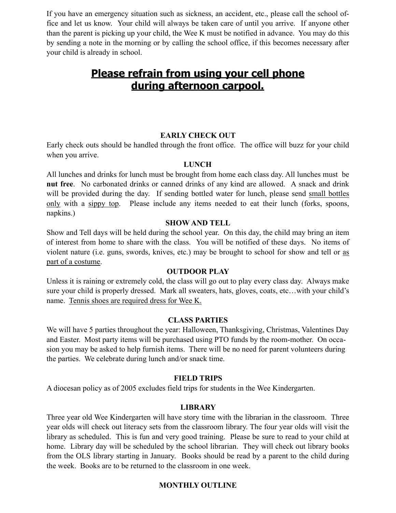If you have an emergency situation such as sickness, an accident, etc., please call the school office and let us know. Your child will always be taken care of until you arrive. If anyone other than the parent is picking up your child, the Wee K must be notified in advance. You may do this by sending a note in the morning or by calling the school office, if this becomes necessary after your child is already in school.

# **Please refrain from using your cell phone during afternoon carpool.**

## **EARLY CHECK OUT**

Early check outs should be handled through the front office. The office will buzz for your child when you arrive.

### **LUNCH**

All lunches and drinks for lunch must be brought from home each class day. All lunches must be **nut free**. No carbonated drinks or canned drinks of any kind are allowed. A snack and drink will be provided during the day. If sending bottled water for lunch, please send small bottles only with a sippy top. Please include any items needed to eat their lunch (forks, spoons, napkins.)

## **SHOW AND TELL**

Show and Tell days will be held during the school year. On this day, the child may bring an item of interest from home to share with the class. You will be notified of these days. No items of violent nature (i.e. guns, swords, knives, etc.) may be brought to school for show and tell or as part of a costume.

# **OUTDOOR PLAY**

Unless it is raining or extremely cold, the class will go out to play every class day. Always make sure your child is properly dressed. Mark all sweaters, hats, gloves, coats, etc…with your child's name. Tennis shoes are required dress for Wee K.

#### **CLASS PARTIES**

We will have 5 parties throughout the year: Halloween, Thanksgiving, Christmas, Valentines Day and Easter. Most party items will be purchased using PTO funds by the room-mother. On occasion you may be asked to help furnish items. There will be no need for parent volunteers during the parties. We celebrate during lunch and/or snack time.

#### **FIELD TRIPS**

A diocesan policy as of 2005 excludes field trips for students in the Wee Kindergarten.

# **LIBRARY**

Three year old Wee Kindergarten will have story time with the librarian in the classroom. Three year olds will check out literacy sets from the classroom library. The four year olds will visit the library as scheduled. This is fun and very good training. Please be sure to read to your child at home. Library day will be scheduled by the school librarian. They will check out library books from the OLS library starting in January. Books should be read by a parent to the child during the week. Books are to be returned to the classroom in one week.

# **MONTHLY OUTLINE**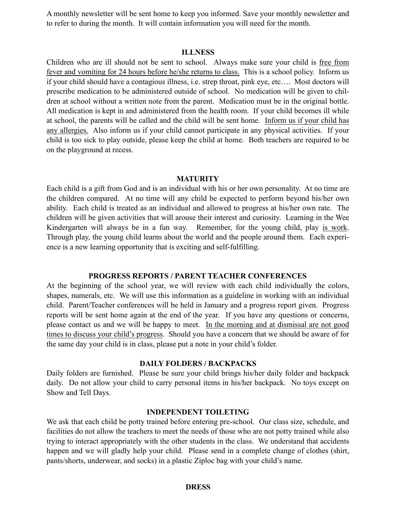A monthly newsletter will be sent home to keep you informed. Save your monthly newsletter and to refer to during the month. It will contain information you will need for the month.

#### **ILLNESS**

Children who are ill should not be sent to school. Always make sure your child is free from fever and vomiting for 24 hours before he/she returns to class. This is a school policy. Inform us if your child should have a contagious illness, i.e. strep throat, pink eye, etc…. Most doctors will prescribe medication to be administered outside of school. No medication will be given to children at school without a written note from the parent. Medication must be in the original bottle. All medication is kept in and administered from the health room. If your child becomes ill while at school, the parents will be called and the child will be sent home. Inform us if your child has any allergies. Also inform us if your child cannot participate in any physical activities. If your child is too sick to play outside, please keep the child at home. Both teachers are required to be on the playground at recess.

#### **MATURITY**

Each child is a gift from God and is an individual with his or her own personality. At no time are the children compared. At no time will any child be expected to perform beyond his/her own ability. Each child is treated as an individual and allowed to progress at his/her own rate. The children will be given activities that will arouse their interest and curiosity. Learning in the Wee Kindergarten will always be in a fun way. Remember, for the young child, play is work. Through play, the young child learns about the world and the people around them. Each experience is a new learning opportunity that is exciting and self-fulfilling.

#### **PROGRESS REPORTS / PARENT TEACHER CONFERENCES**

At the beginning of the school year, we will review with each child individually the colors, shapes, numerals, etc. We will use this information as a guideline in working with an individual child. Parent/Teacher conferences will be held in January and a progress report given. Progress reports will be sent home again at the end of the year. If you have any questions or concerns, please contact us and we will be happy to meet. In the morning and at dismissal are not good times to discuss your child's progress. Should you have a concern that we should be aware of for the same day your child is in class, please put a note in your child's folder.

## **DAILY FOLDERS / BACKPACKS**

Daily folders are furnished. Please be sure your child brings his/her daily folder and backpack daily. Do not allow your child to carry personal items in his/her backpack. No toys except on Show and Tell Days.

#### **INDEPENDENT TOILETING**

We ask that each child be potty trained before entering pre-school. Our class size, schedule, and facilities do not allow the teachers to meet the needs of those who are not potty trained while also trying to interact appropriately with the other students in the class. We understand that accidents happen and we will gladly help your child. Please send in a complete change of clothes (shirt, pants/shorts, underwear, and socks) in a plastic Ziploc bag with your child's name.

#### **DRESS**